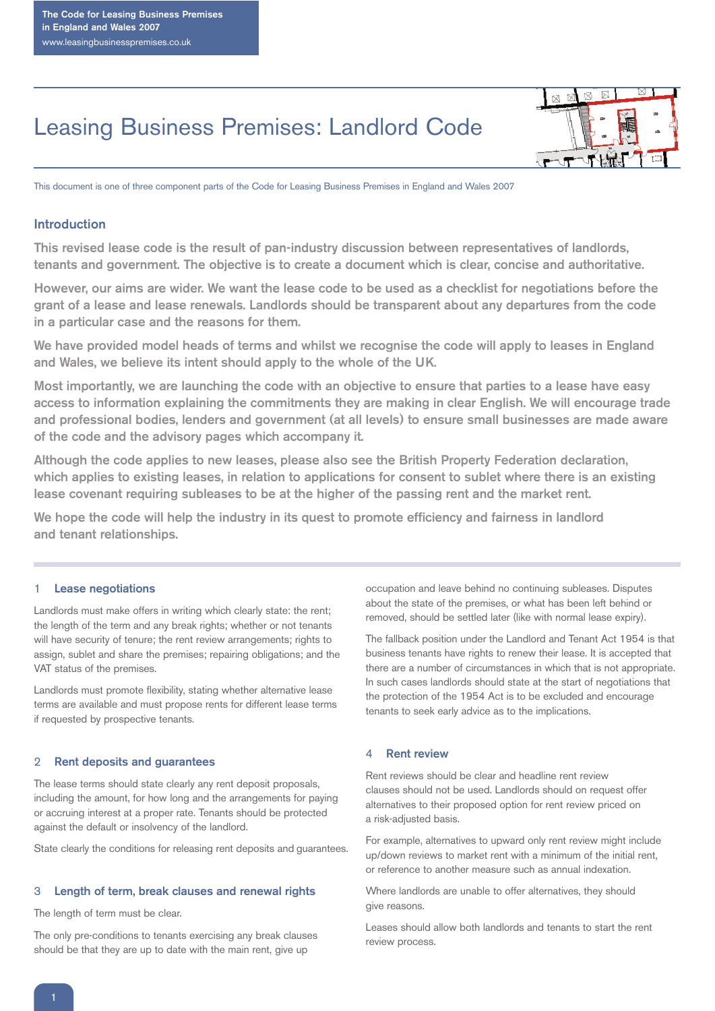# Leasing Business Premises: Landlord Code



This document is one of three component parts of the Code for Leasing Business Premises in England and Wales 2007

# **Introduction**

**This revised lease code is the result of pan-industry discussion between representatives of landlords, tenants and government. The objective is to create a document which is clear, concise and authoritative.** 

**However, our aims are wider. We want the lease code to be used as a checklist for negotiations before the grant of a lease and lease renewals. Landlords should be transparent about any departures from the code in a particular case and the reasons for them.**

**We have provided model heads of terms and whilst we recognise the code will apply to leases in England and Wales, we believe its intent should apply to the whole of the UK.**

**Most importantly, we are launching the code with an objective to ensure that parties to a lease have easy access to information explaining the commitments they are making in clear English. We will encourage trade and professional bodies, lenders and government (at all levels) to ensure small businesses are made aware of the code and the advisory pages which accompany it.** 

**Although the code applies to new leases, please also see the British Property Federation declaration, which applies to existing leases, in relation to applications for consent to sublet where there is an existing lease covenant requiring subleases to be at the higher of the passing rent and the market rent.** 

**We hope the code will help the industry in its quest to promote efficiency and fairness in landlord and tenant relationships.**

## 1 **Lease negotiations**

Landlords must make offers in writing which clearly state: the rent; the length of the term and any break rights; whether or not tenants will have security of tenure; the rent review arrangements; rights to assign, sublet and share the premises; repairing obligations; and the VAT status of the premises.

Landlords must promote flexibility, stating whether alternative lease terms are available and must propose rents for different lease terms if requested by prospective tenants.

## 2 **Rent deposits and guarantees**

The lease terms should state clearly any rent deposit proposals, including the amount, for how long and the arrangements for paying or accruing interest at a proper rate. Tenants should be protected against the default or insolvency of the landlord.

State clearly the conditions for releasing rent deposits and guarantees.

#### 3 **Length of term, break clauses and renewal rights**

The length of term must be clear.

The only pre-conditions to tenants exercising any break clauses should be that they are up to date with the main rent, give up

occupation and leave behind no continuing subleases. Disputes about the state of the premises, or what has been left behind or removed, should be settled later (like with normal lease expiry).

The fallback position under the Landlord and Tenant Act 1954 is that business tenants have rights to renew their lease. It is accepted that there are a number of circumstances in which that is not appropriate. In such cases landlords should state at the start of negotiations that the protection of the 1954 Act is to be excluded and encourage tenants to seek early advice as to the implications.

# 4 **Rent review**

Rent reviews should be clear and headline rent review clauses should not be used. Landlords should on request offer alternatives to their proposed option for rent review priced on a risk-adjusted basis.

For example, alternatives to upward only rent review might include up/down reviews to market rent with a minimum of the initial rent, or reference to another measure such as annual indexation.

Where landlords are unable to offer alternatives, they should give reasons.

Leases should allow both landlords and tenants to start the rent review process.